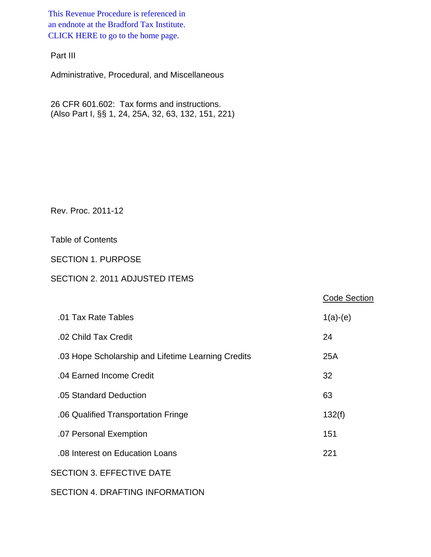This Revenue Procedure is referenced in [an endnote at the Bradford Tax Institute.](http://bradfordtaxinstitute.com/index1.aspx)  CLICK HERE to go to the home page.

Part III

Administrative, Procedural, and Miscellaneous

26 CFR 601.602: Tax forms and instructions. (Also Part I, §§ 1, 24, 25A, 32, 63, 132, 151, 221)

Rev. Proc. 2011-12

Table of Contents

SECTION 1. PURPOSE

# SECTION 2. 2011 ADJUSTED ITEMS

|                                                    | <b>Code Section</b> |
|----------------------------------------------------|---------------------|
| .01 Tax Rate Tables                                | $1(a)-(e)$          |
| .02 Child Tax Credit                               | 24                  |
| .03 Hope Scholarship and Lifetime Learning Credits | 25A                 |
| .04 Earned Income Credit                           | 32                  |
| .05 Standard Deduction                             | 63                  |
| .06 Qualified Transportation Fringe                | 132(f)              |
| .07 Personal Exemption                             | 151                 |
| .08 Interest on Education Loans                    | 221                 |
| <b>SECTION 3. EFFECTIVE DATE</b>                   |                     |
|                                                    |                     |

SECTION 4. DRAFTING INFORMATION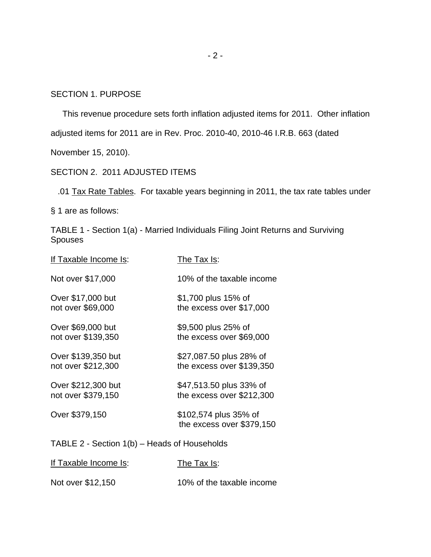## SECTION 1. PURPOSE

This revenue procedure sets forth inflation adjusted items for 2011. Other inflation

adjusted items for 2011 are in Rev. Proc. 2010-40, 2010-46 I.R.B. 663 (dated

November 15, 2010).

## SECTION 2. 2011 ADJUSTED ITEMS

.01 Tax Rate Tables. For taxable years beginning in 2011, the tax rate tables under

§ 1 are as follows:

TABLE 1 - Section 1(a) - Married Individuals Filing Joint Returns and Surviving Spouses

| <u>If Taxable Income Is:</u>                 | <u>The Tax Is:</u>                                   |  |
|----------------------------------------------|------------------------------------------------------|--|
| Not over \$17,000                            | 10% of the taxable income                            |  |
| Over \$17,000 but<br>not over \$69,000       | \$1,700 plus 15% of<br>the excess over \$17,000      |  |
| Over \$69,000 but<br>not over \$139,350      | \$9,500 plus 25% of<br>the excess over \$69,000      |  |
| Over \$139,350 but<br>not over \$212,300     | \$27,087.50 plus 28% of<br>the excess over \$139,350 |  |
| Over \$212,300 but<br>not over \$379,150     | \$47,513.50 plus 33% of<br>the excess over \$212,300 |  |
| Over \$379,150                               | \$102,574 plus 35% of<br>the excess over \$379,150   |  |
| TABLE 2 - Section 1(b) – Heads of Households |                                                      |  |
| If Taxable Income Is:                        | The Tax Is:                                          |  |

| Not over \$12,150 | 10% of the taxable income |
|-------------------|---------------------------|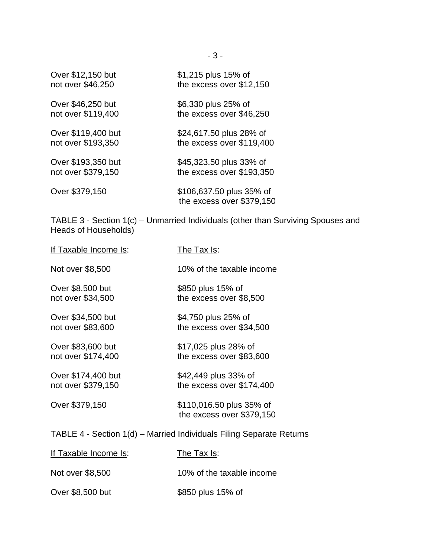| Over \$12,150 but  | \$1,215 plus 15% of                                   |
|--------------------|-------------------------------------------------------|
| not over \$46,250  | the excess over \$12,150                              |
| Over \$46,250 but  | \$6,330 plus 25% of                                   |
| not over \$119,400 | the excess over \$46,250                              |
| Over \$119,400 but | \$24,617.50 plus 28% of                               |
| not over \$193,350 | the excess over \$119,400                             |
| Over \$193,350 but | \$45,323.50 plus 33% of                               |
| not over \$379,150 | the excess over \$193,350                             |
| Over \$379,150     | \$106,637.50 plus 35% of<br>the excess over \$379,150 |

TABLE 3 - Section 1(c) – Unmarried Individuals (other than Surviving Spouses and Heads of Households)

| If Taxable Income Is:                                                | The Tax Is:                                           |  |  |
|----------------------------------------------------------------------|-------------------------------------------------------|--|--|
| Not over \$8,500                                                     | 10% of the taxable income                             |  |  |
| Over \$8,500 but                                                     | \$850 plus 15% of                                     |  |  |
| not over \$34,500                                                    | the excess over \$8,500                               |  |  |
| Over \$34,500 but                                                    | \$4,750 plus 25% of                                   |  |  |
| not over \$83,600                                                    | the excess over \$34,500                              |  |  |
| Over \$83,600 but                                                    | \$17,025 plus 28% of                                  |  |  |
| not over \$174,400                                                   | the excess over \$83,600                              |  |  |
| Over \$174,400 but                                                   | \$42,449 plus 33% of                                  |  |  |
| not over \$379,150                                                   | the excess over \$174,400                             |  |  |
| Over \$379,150                                                       | \$110,016.50 plus 35% of<br>the excess over \$379,150 |  |  |
| TABLE 4 - Section 1(d) – Married Individuals Filing Separate Returns |                                                       |  |  |

| If Taxable Income Is: | The Tax Is:               |
|-----------------------|---------------------------|
| Not over \$8,500      | 10% of the taxable income |
| Over \$8,500 but      | \$850 plus 15% of         |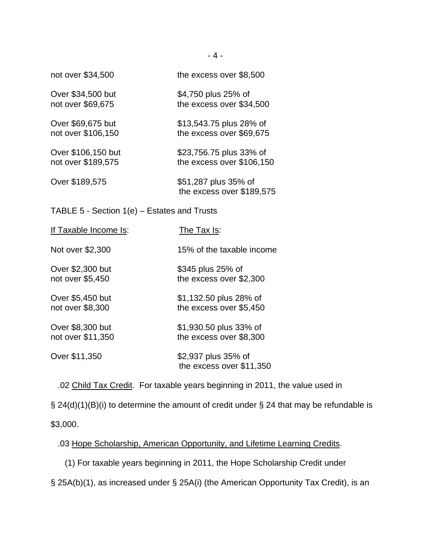| not over \$34,500                             | the excess over \$8,500                              |  |
|-----------------------------------------------|------------------------------------------------------|--|
| Over \$34,500 but<br>not over \$69,675        | \$4,750 plus 25% of<br>the excess over \$34,500      |  |
| Over \$69,675 but<br>not over \$106,150       | \$13,543.75 plus 28% of<br>the excess over \$69,675  |  |
| Over \$106,150 but<br>not over \$189,575      | \$23,756.75 plus 33% of<br>the excess over \$106,150 |  |
| Over \$189,575                                | \$51,287 plus 35% of<br>the excess over \$189,575    |  |
| TABLE 5 - Section $1(e)$ – Estates and Trusts |                                                      |  |
| If Taxable Income Is:                         | The Tax $Is:$                                        |  |

| Not over \$2,300  | 15% of the taxable income                       |
|-------------------|-------------------------------------------------|
| Over \$2,300 but  | \$345 plus 25% of                               |
| not over \$5,450  | the excess over \$2,300                         |
| Over \$5,450 but  | \$1,132.50 plus 28% of                          |
| not over \$8,300  | the excess over \$5,450                         |
| Over \$8,300 but  | \$1,930.50 plus 33% of                          |
| not over \$11,350 | the excess over \$8,300                         |
| Over \$11,350     | \$2,937 plus 35% of<br>the excess over \$11,350 |

.02 Child Tax Credit. For taxable years beginning in 2011, the value used in

§ 24(d)(1)(B)(i) to determine the amount of credit under § 24 that may be refundable is \$3,000.

.03 Hope Scholarship, American Opportunity, and Lifetime Learning Credits.

(1) For taxable years beginning in 2011, the Hope Scholarship Credit under

§ 25A(b)(1), as increased under § 25A(i) (the American Opportunity Tax Credit), is an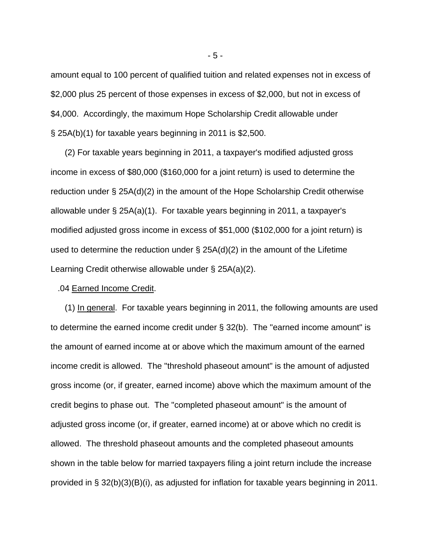amount equal to 100 percent of qualified tuition and related expenses not in excess of \$2,000 plus 25 percent of those expenses in excess of \$2,000, but not in excess of \$4,000. Accordingly, the maximum Hope Scholarship Credit allowable under § 25A(b)(1) for taxable years beginning in 2011 is \$2,500.

 (2) For taxable years beginning in 2011, a taxpayer's modified adjusted gross income in excess of \$80,000 (\$160,000 for a joint return) is used to determine the reduction under § 25A(d)(2) in the amount of the Hope Scholarship Credit otherwise allowable under § 25A(a)(1). For taxable years beginning in 2011, a taxpayer's modified adjusted gross income in excess of \$51,000 (\$102,000 for a joint return) is used to determine the reduction under § 25A(d)(2) in the amount of the Lifetime Learning Credit otherwise allowable under § 25A(a)(2).

#### .04 Earned Income Credit.

 (1) In general. For taxable years beginning in 2011, the following amounts are used to determine the earned income credit under § 32(b). The "earned income amount" is the amount of earned income at or above which the maximum amount of the earned income credit is allowed. The "threshold phaseout amount" is the amount of adjusted gross income (or, if greater, earned income) above which the maximum amount of the credit begins to phase out. The "completed phaseout amount" is the amount of adjusted gross income (or, if greater, earned income) at or above which no credit is allowed. The threshold phaseout amounts and the completed phaseout amounts shown in the table below for married taxpayers filing a joint return include the increase provided in § 32(b)(3)(B)(i), as adjusted for inflation for taxable years beginning in 2011.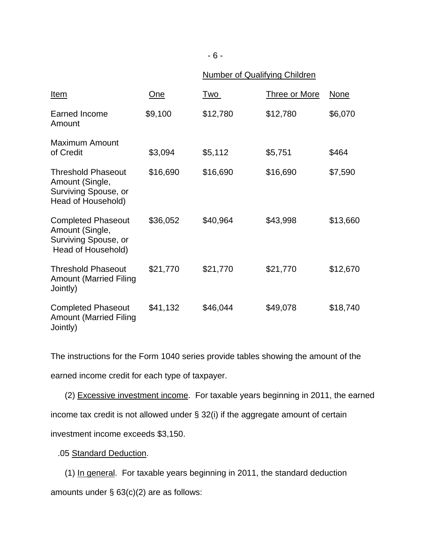# Number of Qualifying Children

| <u>Item</u>                                                                                | One      | <u>Two</u> | <b>Three or More</b> | None     |
|--------------------------------------------------------------------------------------------|----------|------------|----------------------|----------|
| Earned Income<br>Amount                                                                    | \$9,100  | \$12,780   | \$12,780             | \$6,070  |
| <b>Maximum Amount</b><br>of Credit                                                         | \$3,094  | \$5,112    | \$5,751              | \$464    |
| <b>Threshold Phaseout</b><br>Amount (Single,<br>Surviving Spouse, or<br>Head of Household) | \$16,690 | \$16,690   | \$16,690             | \$7,590  |
| <b>Completed Phaseout</b><br>Amount (Single,<br>Surviving Spouse, or<br>Head of Household) | \$36,052 | \$40,964   | \$43,998             | \$13,660 |
| <b>Threshold Phaseout</b><br><b>Amount (Married Filing</b><br>Jointly)                     | \$21,770 | \$21,770   | \$21,770             | \$12,670 |
| <b>Completed Phaseout</b><br><b>Amount (Married Filing</b><br>Jointly)                     | \$41,132 | \$46,044   | \$49,078             | \$18,740 |

The instructions for the Form 1040 series provide tables showing the amount of the earned income credit for each type of taxpayer.

 (2) Excessive investment income. For taxable years beginning in 2011, the earned income tax credit is not allowed under § 32(i) if the aggregate amount of certain investment income exceeds \$3,150.

.05 Standard Deduction.

 (1) In general. For taxable years beginning in 2011, the standard deduction amounts under § 63(c)(2) are as follows: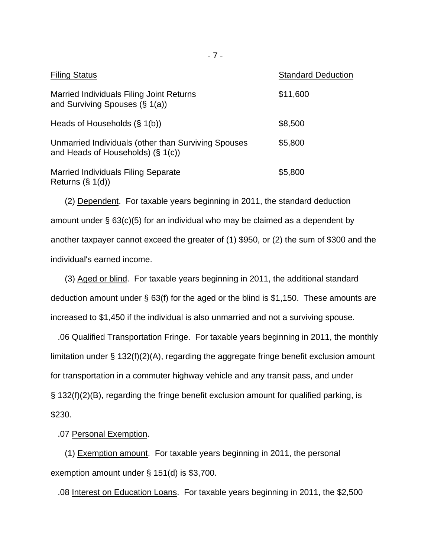| <b>Filing Status</b>                                                                        | <b>Standard Deduction</b> |
|---------------------------------------------------------------------------------------------|---------------------------|
| Married Individuals Filing Joint Returns<br>and Surviving Spouses $(\S 1(a))$               | \$11,600                  |
| Heads of Households $(\S 1(b))$                                                             | \$8,500                   |
| Unmarried Individuals (other than Surviving Spouses<br>and Heads of Households) $(\S 1(c))$ | \$5,800                   |
| <b>Married Individuals Filing Separate</b><br>Returns $(\S 1(d))$                           | \$5,800                   |

 (2) Dependent. For taxable years beginning in 2011, the standard deduction amount under § 63(c)(5) for an individual who may be claimed as a dependent by another taxpayer cannot exceed the greater of (1) \$950, or (2) the sum of \$300 and the individual's earned income.

 (3) Aged or blind. For taxable years beginning in 2011, the additional standard deduction amount under § 63(f) for the aged or the blind is \$1,150. These amounts are increased to \$1,450 if the individual is also unmarried and not a surviving spouse.

 .06 Qualified Transportation Fringe. For taxable years beginning in 2011, the monthly limitation under § 132(f)(2)(A), regarding the aggregate fringe benefit exclusion amount for transportation in a commuter highway vehicle and any transit pass, and under § 132(f)(2)(B), regarding the fringe benefit exclusion amount for qualified parking, is \$230.

#### .07 Personal Exemption.

 (1) Exemption amount. For taxable years beginning in 2011, the personal exemption amount under § 151(d) is \$3,700.

.08 Interest on Education Loans. For taxable years beginning in 2011, the \$2,500